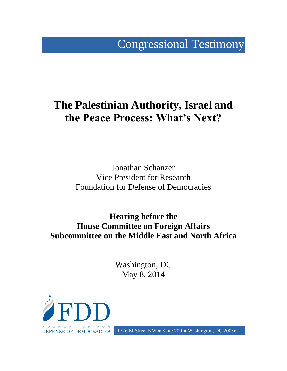# Congressional Testimony

# **The Palestinian Authority, Israel and the Peace Process: What's Next?**

Jonathan Schanzer Vice President for Research Foundation for Defense of Democracies

**Hearing before the House Committee on Foreign Affairs Subcommittee on the Middle East and North Africa**

> Washington, DC May 8, 2014



**DEFENSE OF DEMOCRACIES** 1726 M Street NW • Suite 700 • Washington, DC 20036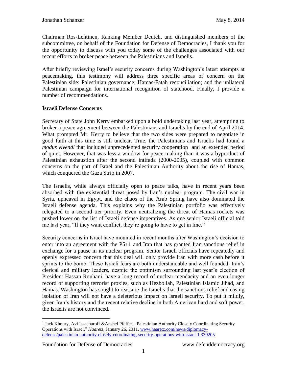Chairman Ros-Lehtinen, Ranking Member Deutch, and distinguished members of the subcommittee, on behalf of the Foundation for Defense of Democracies, I thank you for the opportunity to discuss with you today some of the challenges associated with our recent efforts to broker peace between the Palestinians and Israelis.

After briefly reviewing Israel's security concerns during Washington's latest attempts at peacemaking, this testimony will address three specific areas of concern on the Palestinian side: Palestinian governance; Hamas-Fatah reconciliation; and the unilateral Palestinian campaign for international recognition of statehood. Finally, I provide a number of recommendations.

#### **Israeli Defense Concerns**

Secretary of State John Kerry embarked upon a bold undertaking last year, attempting to broker a peace agreement between the Palestinians and Israelis by the end of April 2014. What prompted Mr. Kerry to believe that the two sides were prepared to negotiate in good faith at this time is still unclear. True, the Palestinians and Israelis had found a *modus vivendi* that included unprecedented security cooperation<sup>1</sup> and an extended period of quiet. However, that was less a window for peace-making than it was a byproduct of Palestinian exhaustion after the second intifada (2000-2005), coupled with common concerns on the part of Israel and the Palestinian Authority about the rise of Hamas, which conquered the Gaza Strip in 2007.

The Israelis, while always officially open to peace talks, have in recent years been absorbed with the existential threat posed by Iran's nuclear program. The civil war in Syria, upheaval in Egypt, and the chaos of the Arab Spring have also dominated the Israeli defense agenda. This explains why the Palestinian portfolio was effectively relegated to a second tier priority. Even neutralizing the threat of Hamas rockets was pushed lower on the list of Israeli defense imperatives. As one senior Israeli official told me last year, "If they want conflict, they're going to have to get in line."

Security concerns in Israel have mounted in recent months after Washington's decision to enter into an agreement with the P5+1 and Iran that has granted Iran sanctions relief in exchange for a pause in its nuclear program. Senior Israeli officials have repeatedly and openly expressed concern that this deal will only provide Iran with more cash before it sprints to the bomb. These Israeli fears are both understandable and well founded. Iran's clerical and military leaders, despite the optimism surrounding last year's election of President Hassan Rouhani, have a long record of nuclear mendacity and an even longer record of supporting terrorist proxies, such as Hezbollah, Palestinian Islamic Jihad, and Hamas. Washington has sought to reassure the Israelis that the sanctions relief and easing isolation of Iran will not have a deleterious impact on Israeli security. To put it mildly, given Iran's history and the recent relative decline in both American hard and soft power, the Israelis are not convinced.

 $\overline{a}$ <sup>1</sup> Jack Khoury, Avi Issacharoff &Anshel Pfeffer, "Palestinian Authority Closely Coordinating Security Operations with Israel," *Haaretz*, January 26, 2011. [www.haaretz.com/news/diplomacy](http://www.haaretz.com/news/diplomacy-defense/palestinian-authority-closely-coordinating-security-operations-with-israel-1.339205)[defense/palestinian-authority-closely-coordinating-security-operations-with-israel-1.339205](http://www.haaretz.com/news/diplomacy-defense/palestinian-authority-closely-coordinating-security-operations-with-israel-1.339205)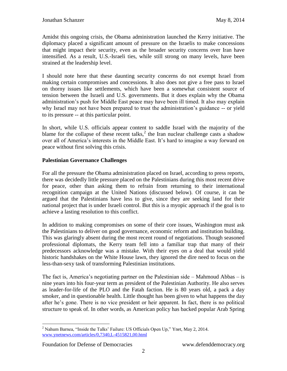Amidst this ongoing crisis, the Obama administration launched the Kerry initiative. The diplomacy placed a significant amount of pressure on the Israelis to make concessions that might impact their security, even as the broader security concerns over Iran have intensified. As a result, U.S.-Israeli ties, while still strong on many levels, have been strained at the leadership level.

I should note here that these daunting security concerns do not exempt Israel from making certain compromises and concessions. It also does not give a free pass to Israel on thorny issues like settlements, which have been a somewhat consistent source of tension between the Israeli and U.S. governments. But it does explain why the Obama administration's push for Middle East peace may have been ill timed. It also may explain why Israel may not have been prepared to trust the administration's guidance -- or yield to its pressure -- at this particular point.

In short, while U.S. officials appear content to saddle Israel with the majority of the blame for the collapse of these recent talks,<sup>2</sup> the Iran nuclear challenge casts a shadow over all of America's interests in the Middle East. It's hard to imagine a way forward on peace without first solving this crisis.

## **Palestinian Governance Challenges**

For all the pressure the Obama administration placed on Israel, according to press reports, there was decidedly little pressure placed on the Palestinians during this most recent drive for peace, other than asking them to refrain from returning to their international recognition campaign at the United Nations (discussed below). Of course, it can be argued that the Palestinians have less to give, since they are seeking land for their national project that is under Israeli control. But this is a myopic approach if the goal is to achieve a lasting resolution to this conflict.

In addition to making compromises on some of their core issues, Washington must ask the Palestinians to deliver on good governance, economic reform and institution building. This was glaringly absent during the most recent round of negotiations. Though seasoned professional diplomats, the Kerry team fell into a familiar trap that many of their predecessors acknowledge was a mistake. With their eyes on a deal that would yield historic handshakes on the White House lawn, they ignored the dire need to focus on the less-than-sexy task of transforming Palestinian institutions.

The fact is, America's negotiating partner on the Palestinian side – Mahmoud Abbas – is nine years into his four-year term as president of the Palestinian Authority. He also serves as leader-for-life of the PLO and the Fatah faction. He is 80 years old, a pack a day smoker, and in questionable health. Little thought has been given to what happens the day after he's gone. There is no vice president or heir apparent. In fact, there is no political structure to speak of. In other words, as American policy has backed popular Arab Spring

 $\overline{a}$ <sup>2</sup> Nahum Barnea, "Inside the Talks' Failure: US Officials Open Up," Ynet, May 2, 2014. [www.ynetnews.com/articles/0,7340,L-4515821,00.html](http://www.ynetnews.com/articles/0,7340,L-4515821,00.html)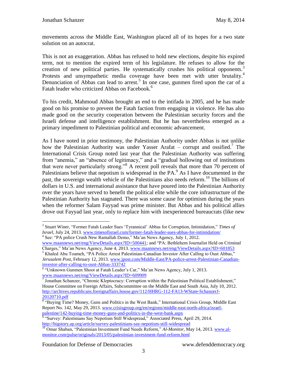movements across the Middle East, Washington placed all of its hopes for a two state solution on an autocrat.

This is not an exaggeration. Abbas has refused to hold new elections, despite his expired term, not to mention the expired term of his legislature. He refuses to allow for the creation of new political parties. He systematically crushes his political opponents.<sup>3</sup> Protests and unsympathetic media coverage have been met with utter brutality.<sup>4</sup> Denunciation of Abbas can lead to arrest.<sup>5</sup> In one case, gunmen fired upon the car of a Fatah leader who criticized Abbas on Facebook.<sup>6</sup>

To his credit, Mahmoud Abbas brought an end to the intifada in 2005, and he has made good on his promise to prevent the Fatah faction from engaging in violence. He has also made good on the security cooperation between the Palestinian security forces and the Israeli defense and intelligence establishment. But he has nevertheless emerged as a primary impediment to Palestinian political and economic advancement.

As I have noted in prior testimony, the Palestinian Authority under Abbas is not unlike how the Palestinian Authority was under Yasser Arafat – corrupt and ossified.<sup>7</sup> The International Crisis Group noted last year that the Palestinian Authority was suffering from "anemia," an "absence of legitimacy," and a "gradual hollowing out of institutions that were never particularly strong.<sup>38</sup> A recent poll reveals that more than 70 percent of Palestinians believe that nepotism is widespread in the PA.<sup>9</sup> As I have documented in the past, the sovereign wealth vehicle of the Palestinians also needs reform.<sup>10</sup> The billions of dollars in U.S. and international assistance that have poured into the Palestinian Authority over the years have served to benefit the political elite while the core infrastructure of the Palestinian Authority has stagnated. There was some cause for optimism during the years when the reformer Salam Fayyad was prime minister. But Abbas and his political allies drove out Fayyad last year, only to replace him with inexperienced bureaucrats (like new

 $\overline{a}$ 3 Stuart Winer, "Former Fatah Leader Sues 'Tyrannical' Abbas for Corruption, Intimidation," *Times of Israel*, July 24, 2013. [www.timesofisrael.com/former-fatah-leader-sues-abbas-for-intimidation/](http://www.timesofisrael.com/former-fatah-leader-sues-abbas-for-intimidation/) 4 See: "PA police Crush New Ramallah Demo," Ma'an News Agency, July 1, 2012.

[www.maannews.net/eng/ViewDetails.aspx?ID=500441;](http://www.maannews.net/eng/ViewDetails.aspx?ID=500441) and "PA: Bethlehem Journalist Held on Criminal Charges," Ma'an News Agency, June 4, 2013. [www.maannews.net/eng/ViewDetails.aspx?ID=601853](http://www.maannews.net/eng/ViewDetails.aspx?ID=601853)

<sup>&</sup>lt;sup>5</sup> Khaled Abu Toameh, "PA Police Arrest Palestinian-Canadian Investor After Calling to Oust Abbas," *Jerusalem Post*, February 12, 2013. [www.jpost.com/Middle-East/PA-police-arrest-Palestinian-Canadian](http://www.jpost.com/Middle-East/PA-police-arrest-Palestinian-Canadian-investor-after-calling-to-oust-Abbas-333742)[investor-after-calling-to-oust-Abbas-333742](http://www.jpost.com/Middle-East/PA-police-arrest-Palestinian-Canadian-investor-after-calling-to-oust-Abbas-333742)

<sup>&</sup>lt;sup>6</sup> "Unknown Gunmen Shoot at Fatah Leader's Car," Ma'an News Agency, July 1, 2013.

[www.maannews.net/eng/ViewDetails.aspx?ID=609909](http://www.maannews.net/eng/ViewDetails.aspx?ID=609909)<br><sup>7</sup> Jonathan Schanzer, "Chronic Kleptocracy: Corruption within the Palestinian Political Establishment," House Committee on Foreign Affairs, Subcommittee on the Middle East and South Asia, July 10, 2012. [http://archives.republicans.foreignaffairs.house.gov/112/HHRG-112-FA13-WState-SchanzerJ-](http://archives.republicans.foreignaffairs.house.gov/112/HHRG-112-FA13-WState-SchanzerJ-20120710.pdf)[20120710.pdf](http://archives.republicans.foreignaffairs.house.gov/112/HHRG-112-FA13-WState-SchanzerJ-20120710.pdf)

<sup>&</sup>lt;sup>8</sup> "Buying Time? Money, Guns and Politics in the West Bank," International Crisis Group, Middle East Report No. 142, May 29, 2013. [www.crisisgroup.org/en/regions/middle-east-north-africa/israel](http://www.crisisgroup.org/en/regions/middle-east-north-africa/israel-palestine/142-buying-time-money-guns-and-politics-in-the-west-bank.aspx)[palestine/142-buying-time-money-guns-and-politics-in-the-west-bank.aspx](http://www.crisisgroup.org/en/regions/middle-east-north-africa/israel-palestine/142-buying-time-money-guns-and-politics-in-the-west-bank.aspx)

<sup>&</sup>lt;sup>9</sup> "Survey: Palestinians Say Nepotism Still Widespread," Associated Press, April 29, 2014. <http://bigstory.ap.org/article/survey-palestinians-say-nepotism-still-widespread>

<sup>&</sup>lt;sup>10</sup> Omar Shaban, "Palestinian Investment Fund Needs Reform," Al-Monitor, May 14, 2013. [www.al](http://www.al-monitor.com/pulse/originals/2013/05/palestinian-investment-fund-reform.html)[monitor.com/pulse/originals/2013/05/palestinian-investment-fund-reform.html](http://www.al-monitor.com/pulse/originals/2013/05/palestinian-investment-fund-reform.html)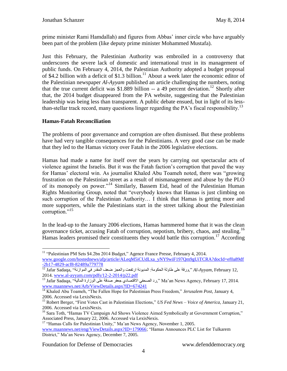prime minister Rami Hamdallah) and figures from Abbas' inner circle who have arguably been part of the problem (like deputy prime minister Mohammed Mustafa).

Just this February, the Palestinian Authority was embroiled in a controversy that underscores the severe lack of domestic and international trust in its management of public funds. On February 4, 2014, the Palestinian Authority adopted a budget proposal of \$4.2 billion with a deficit of \$1.3 billion.<sup>11</sup> About a week later the economic editor of the Palestinian newspaper *Al-Ayyam* published an article challenging the numbers, noting that the true current deficit was \$1.889 billion  $-$  a 49 percent deviation.<sup>12</sup> Shortly after that, the 2014 budget disappeared from the PA website, suggesting that the Palestinian leadership was being less than transparent. A public debate ensued, but in light of its lessthan-stellar track record, many questions linger regarding the PA's fiscal responsibility.<sup>13</sup>

## **Hamas-Fatah Reconciliation**

 $\overline{a}$ 

The problems of poor governance and corruption are often dismissed. But these problems have had very tangible consequences for the Palestinians. A very good case can be made that they led to the Hamas victory over Fatah in the 2006 legislative elections.

Hamas had made a name for itself over the years by carrying out spectacular acts of violence against the Israelis. But it was the Fatah faction's corruption that paved the way for Hamas' electoral win. As journalist Khaled Abu Toameh noted, there was "growing frustration on the Palestinian street as a result of mismanagement and abuse by the PLO of its monopoly on power."<sup>14</sup> Similarly, Bassem Eid, head of the Palestinian Human Rights Monitoring Group, noted that "everybody knows that Hamas is just climbing on such corruption of the Palestinian Authority… I think that Hamas is getting more and more supporters, while the Palestinians start in the street talking about the Palestinian corruption." $15$ 

In the lead-up to the January 2006 elections, Hamas hammered home that it was the clean governance ticket, accusing Fatah of corruption, nepotism, bribery, chaos, and stealing.<sup>16</sup> Hamas leaders promised their constituents they would battle this corruption.<sup>17</sup> According

<sup>17</sup> "Hamas Calls for Palestinian Unity," Ma'an News Agency, November 1, 2005. [www.maannews.net/eng/ViewDetails.aspx?ID=179066;](http://www.maannews.net/eng/ViewDetails.aspx?ID=179066) "Hamas Announces PLC List for Tulkarem District," Ma'an News Agency, December 7, 2005.

<sup>&</sup>lt;sup>11</sup> "Palestinian PM Sets \$4.2bn 2014 Budget," Agence France Presse, February 4, 2014. [www.google.com/hostednews/afp/article/ALeqM5iCUdLxa\\_yNY9wiF197Qm9gUiTCRA?docId=ef0a89df](http://www.google.com/hostednews/afp/article/ALeqM5iCUdLxa_yNY9wiF197Qm9gUiTCRA?docId=ef0a89df-2b17-4829-acf8-82489a779778) [-2b17-4829-acf8-82489a779778](http://www.google.com/hostednews/afp/article/ALeqM5iCUdLxa_yNY9wiF197Qm9gUiTCRA?docId=ef0a89df-2b17-4829-acf8-82489a779778)

<sup>1&</sup>lt;sup>2</sup> Jafar Sadaqa, "ورقة على طاولة الحكومة: المديونة ارتفعت والعجز ضعف المقدر في الموازنة" ,Jafar Sadaqa 2014. [www.al-ayyam.com/pdfs/12-2-2014/p22.pdf](http://www.al-ayyam.com/pdfs/12-2-2014/p22.pdf)

<sup>&</sup>lt;sup>13</sup> Jafar Sadaqa, "ورد الصحفي الاقتصادي جعفر صدقة على الوزارة المالية" ,Jafar Sadaqa Jafar Sadaqa ال [www.maannews.net/Arb/ViewDetails.aspx?ID=674241](http://www.maannews.net/Arb/ViewDetails.aspx?ID=674241)

<sup>14</sup> Khaled Abu Toameh, "The Fallen Hope for Palestinian Press Freedom," *Jerusalem Post,* January 4, 2006. Accessed via LexisNexis.

<sup>15</sup> Robert Berger, "First Votes Cast in Palestinian Elections," *US Fed News – Voice of America,* January 21, 2006. Accessed via LexisNexis.

<sup>&</sup>lt;sup>16</sup> Sara Toth, "Hamas TV Campaign Ad Shows Violence Aimed Symbolically at Government Corruption," Associated Press, January 22, 2006. Accessed via LexisNexis.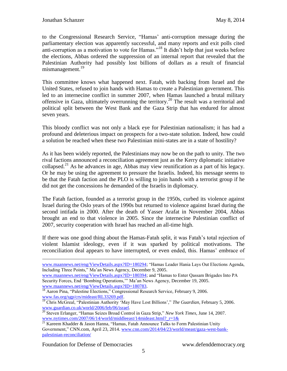to the Congressional Research Service, "Hamas' anti-corruption message during the parliamentary election was apparently successful, and many reports and exit polls cited anti-corruption as a motivation to vote for Hamas."<sup>18</sup> It didn't help that just weeks before the elections, Abbas ordered the suppression of an internal report that revealed that the Palestinian Authority had possibly lost billions of dollars as a result of financial mismanagement.<sup>19</sup>

This committee knows what happened next. Fatah, with backing from Israel and the United States, refused to join hands with Hamas to create a Palestinian government. This led to an internecine conflict in summer 2007, when Hamas launched a brutal military offensive in Gaza, ultimately overrunning the territory.<sup>20</sup> The result was a territorial and political split between the West Bank and the Gaza Strip that has endured for almost seven years.

This bloody conflict was not only a black eye for Palestinian nationalism; it has had a profound and deleterious impact on prospects for a two-state solution. Indeed, how could a solution be reached when these two Palestinian mini-states are in a state of hostility?

As it has been widely reported, the Palestinians may now be on the path to unity. The two rival factions announced a reconciliation agreement just as the Kerry diplomatic initiative collapsed.<sup>21</sup> As he advances in age, Abbas may view reunification as a part of his legacy. Or he may be using the agreement to pressure the Israelis. Indeed, his message seems to be that the Fatah faction and the PLO is willing to join hands with a terrorist group if he did not get the concessions he demanded of the Israelis in diplomacy.

The Fatah faction, founded as a terrorist group in the 1950s, curbed its violence against Israel during the Oslo years of the 1990s but returned to violence against Israel during the second intifada in 2000. After the death of Yasser Arafat in November 2004, Abbas brought an end to that violence in 2005. Since the internecine Palestinian conflict of 2007, security cooperation with Israel has reached an all-time high.

If there was one good thing about the Hamas-Fatah split, it was Fatah's total rejection of violent Islamist ideology, even if it was sparked by political motivations. The reconciliation deal appears to have interrupted, or even ended, this. Hamas' embrace of

[www.maannews.net/eng/ViewDetails.aspx?ID=180783.](http://www.maannews.net/eng/ViewDetails.aspx?ID=180783)

<sup>18</sup> Aaron Pina, "Palestine Elections," Congressional Research Service*,* February 9, 2006. [www.fas.org/sgp/crs/mideast/RL33269.pdf.](http://www.fas.org/sgp/crs/mideast/RL33269.pdf)

Foundation for Defense of Democracies www.defenddemocracy.org

[www.maannews.net/eng/ViewDetails.aspx?ID=180294;](http://www.maannews.net/eng/ViewDetails.aspx?ID=180294) "Hamas Leader Hania Lays Out Elections Agenda, Including Three Points," Ma'an News Agency, December 9, 2005.

[www.maannews.net/eng/ViewDetails.aspx?ID=180394;](http://www.maannews.net/eng/ViewDetails.aspx?ID=180394) and "Hamas to Enter Qassam Brigades Into PA Security Forces, End 'Bombing Operations,'" Ma'an News Agency, December 19, 2005.

<sup>&</sup>lt;sup>19</sup> Chris McGreal, "Palestinian Authority 'May Have Lost Billions'," *The Guardian*, February 5, 2006. [www.guardian.co.uk/world/2006/feb/06/israel.](http://www.guardian.co.uk/world/2006/feb/06/israel)

<sup>20</sup> Steven Erlanger, "Hamas Seizes Broad Control in Gaza Strip," *New York Times*, June 14, 2007. [www.nytimes.com/2007/06/14/world/middleeast/14mideast.html?\\_r=1&](http://www.nytimes.com/2007/06/14/world/middleeast/14mideast.html?_r=1&)

 $21$  Kareem Khadder & Jason Hanna, "Hamas, Fatah Announce Talks to Form Palestinian Unity Government," CNN.com, April 23, 2014. [www.cnn.com/2014/04/23/world/meast/gaza-west-bank](file:///C:/Users/js/AppData/Local/Microsoft/Windows/Temporary%20Internet%20Files/Content.Outlook/ZSCUICM3/www.cnn.com/2014/04/23/world/meast/gaza-west-bank-palestinian-reconciliation/)[palestinian-reconciliation/](file:///C:/Users/js/AppData/Local/Microsoft/Windows/Temporary%20Internet%20Files/Content.Outlook/ZSCUICM3/www.cnn.com/2014/04/23/world/meast/gaza-west-bank-palestinian-reconciliation/)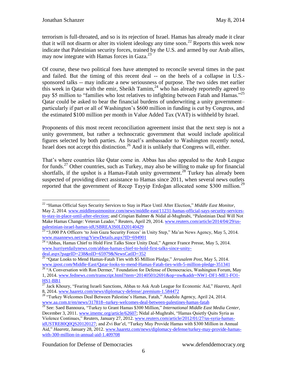$\overline{a}$ 

terrorism is full-throated, and so is its rejection of Israel. Hamas has already made it clear that it will not disarm or alter its violent ideology any time soon.<sup>22</sup> Reports this week now indicate that Palestinian security forces, trained by the U.S. and armed by our Arab allies, may now integrate with Hamas forces in Gaza.<sup>23</sup>

Of course, these two political foes have attempted to reconcile several times in the past and failed. But the timing of this recent deal -- on the heels of a collapse in U.S. sponsored talks -- may indicate a new seriousness of purpose. The two sides met earlier this week in Qatar with the emir, Sheikh Tamim,  $^{24}$  who has already reportedly agreed to pay \$5 million to "families who lost relatives to infighting between Fatah and Hamas."<sup>25</sup> Qatar could be asked to bear the financial burdens of underwriting a unity government– particularly if part or all of Washington's \$600 million in funding is cut by Congress, and the estimated \$100 million per month in Value Added Tax (VAT) is withheld by Israel.

Proponents of this most recent reconciliation agreement insist that the next step is not a unity government, but rather a technocratic government that would include apolitical figures selected by both parties. As Israel's ambassador to Washington recently noted, Israel does not accept this distinction.<sup>26</sup> And it is unlikely that Congress will, either.

That's where countries like Qatar come in. Abbas has also appealed to the Arab League for funds.<sup>27</sup> Other countries, such as Turkey, may also be willing to make up for financial shortfalls, if the upshot is a Hamas-Fatah unity government.<sup>28</sup> Turkey has already been suspected of providing direct assistance to Hamas since 2011, when several news outlets reported that the government of Recep Tayyip Erdoğan allocated some \$300 million.<sup>29</sup>

<sup>22</sup> "Hamas Official Says Security Services to Stay in Place Until After Election," *Middle East Monitor*, May 2, 2014. [www.middleeastmonitor.com/news/middle-east/11231-hamas-official-says-security-services](file:///C:/Users/js/AppData/Local/Microsoft/Windows/Temporary%20Internet%20Files/Content.Outlook/ZSCUICM3/www.middleeastmonitor.com/news/middle-east/11231-hamas-official-says-security-services-to-stay-in-place-until-after-election)[to-stay-in-place-until-after-election;](file:///C:/Users/js/AppData/Local/Microsoft/Windows/Temporary%20Internet%20Files/Content.Outlook/ZSCUICM3/www.middleeastmonitor.com/news/middle-east/11231-hamas-official-says-security-services-to-stay-in-place-until-after-election) and Crispian Balmer & Nidal al-Mughrabi, "Palestinian Deal Will Not Make Hamas Change: Veteran Leader," Reuters, April 29, 2014. [www.reuters.com/article/2014/04/29/us](file:///C:/Users/js/AppData/Local/Microsoft/Windows/Temporary%20Internet%20Files/Content.Outlook/ZSCUICM3/www.reuters.com/article/2014/04/29/us-palestinian-israel-hamas-idUSBREA3S0LD20140429)[palestinian-israel-hamas-idUSBREA3S0LD20140429](file:///C:/Users/js/AppData/Local/Microsoft/Windows/Temporary%20Internet%20Files/Content.Outlook/ZSCUICM3/www.reuters.com/article/2014/04/29/us-palestinian-israel-hamas-idUSBREA3S0LD20140429) 

 $^{23}$  "3,000 PA Officers 'to Join Gaza Security Forces' in Unity Step," Ma'an News Agency, May 5, 2014. [www.maannews.net/eng/ViewDetails.aspx?ID=694901](http://www.maannews.net/eng/ViewDetails.aspx?ID=694901)

<sup>&</sup>lt;sup>24</sup> "Abbas, Hamas Chief to Hold First Talks Since Unity Deal," Agence France Presse, May 5, 2014. [www.hurriyetdailynews.com/abbas-hamas-chief-to-hold-first-talks-since-unity](http://www.hurriyetdailynews.com/abbas-hamas-chief-to-hold-first-talks-since-unity-deal.aspx?pageID=238&nID=65979&NewsCatID=352)[deal.aspx?pageID=238&nID=65979&NewsCatID=352](http://www.hurriyetdailynews.com/abbas-hamas-chief-to-hold-first-talks-since-unity-deal.aspx?pageID=238&nID=65979&NewsCatID=352)

<sup>25</sup> "Qatar Looks to Mend Hamas-Fatah Ties with \$5 Million Pledge," *Jerusalem Post*, May 5, 2014. [www.jpost.com/Middle-East/Qatar-looks-to-mend-Hamas-Fatah-ties-with-5-million-pledge-351341](http://www.jpost.com/Middle-East/Qatar-looks-to-mend-Hamas-Fatah-ties-with-5-million-pledge-351341)

<sup>&</sup>lt;sup>26</sup> "A Conversation with Ron Dermer," Foundation for Defense of Democracies, Washington Forum, May 1, 2014. [www.fednews.com/transcript.html?item=20140501t2691&op=nw&addr=NW1-DF1-ME1-FO1-](http://www.fednews.com/transcript.html?item=20140501t2691&op=nw&addr=NW1-DF1-ME1-FO1-HS1-BB1) [HS1-BB1](http://www.fednews.com/transcript.html?item=20140501t2691&op=nw&addr=NW1-DF1-ME1-FO1-HS1-BB1)

<sup>&</sup>lt;sup>27</sup> Jack Khoury, "Fearing Israeli Sanctions, Abbas to Ask Arab League for Economic Aid," *Haaretz*, April 8, 2014. [www.haaretz.com/news/diplomacy-defense/.premium-1.584472](http://www.haaretz.com/news/diplomacy-defense/.premium-1.584472)

<sup>&</sup>lt;sup>28</sup> "Turkey Welcomes Deal Between Palestine's Hamas, Fatah," Anadolu Agency, April 24, 2014. [www.aa.com.tr/en/news/317818--turkey-welcomes-deal-between-palestines-hamas-fatah](http://www.aa.com.tr/en/news/317818--turkey-welcomes-deal-between-palestines-hamas-fatah)

<sup>29</sup> See: Saed Bannoura, "Turkey to Grant Hamas \$300 Million," *International Middle East Media Center*, December 3, 2011. [www.imemc.org/article/62607;](http://www.imemc.org/article/62607) Nidal al-Mughrabi, "Hamas Quietly Quits Syria as Violence Continues," Reuters, January 27, 2012. [www.reuters.com/article/2012/01/27/us-syria-hamas](http://www.reuters.com/article/2012/01/27/us-syria-hamas-idUSTRE80Q0QS20120127)[idUSTRE80Q0QS20120127;](http://www.reuters.com/article/2012/01/27/us-syria-hamas-idUSTRE80Q0QS20120127) and Zvi Bar'el, "Turkey May Provide Hamas with \$300 Million in Annual Aid," *Haaretz,* January 28, 2012. [www.haaretz.com/news/diplomacy-defense/turkey-may-provide-hamas](http://www.haaretz.com/news/diplomacy-defense/turkey-may-provide-hamas-with-300-million-in-annual-aid-1.409708)[with-300-million-in-annual-aid-1.409708](http://www.haaretz.com/news/diplomacy-defense/turkey-may-provide-hamas-with-300-million-in-annual-aid-1.409708)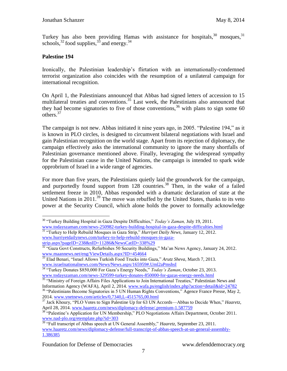Turkey has also been providing Hamas with assistance for hospitals,  $30$  mosques,  $31$ schools,  $32$  food supplies,  $33$  and energy.  $34$ 

#### **Palestine 194**

 $\overline{a}$ 

Ironically, the Palestinian leadership's flirtation with an internationally-condemned terrorist organization also coincides with the resumption of a unilateral campaign for international recognition.

On April 1, the Palestinians announced that Abbas had signed letters of accession to 15 multilateral treaties and conventions. <sup>35</sup> Last week, the Palestinians also announced that they had become signatories to five of those conventions,<sup>36</sup> with plans to sign some 60 others.<sup>37</sup>

The campaign is not new. Abbas initiated it nine years ago, in 2005. "Palestine 194," as it is known in PLO circles, is designed to circumvent bilateral negotiations with Israel and gain Palestinian recognition on the world stage. Apart from its rejection of diplomacy, the campaign effectively asks the international community to ignore the many shortfalls of Palestinian governance mentioned above. Finally, leveraging the widespread sympathy for the Palestinian cause in the United Nations, the campaign is intended to spark wide opprobrium of Israel in a wide range of agencies.

For more than five years, the Palestinians quietly laid the groundwork for the campaign, and purportedly found support from  $128$  countries.<sup>38</sup> Then, in the wake of a failed settlement freeze in 2010, Abbas responded with a dramatic declaration of state at the United Nations in  $2011<sup>39</sup>$  The move was rebuffed by the United States, thanks to its veto power at the Security Council, which alone holds the power to formally acknowledge

<sup>30</sup> "Turkey Building Hospital in Gaza Despite Difficulties," *Today's Zaman,* July 19, 2011. [www.todayszaman.com/news-250982-turkey-building-hospital-in-gaza-despite-difficulties.html](http://www.todayszaman.com/news-250982-turkey-building-hospital-in-gaza-despite-difficulties.html)

<sup>31</sup> "Turkey to Help Rebuild Mosques in Gaza Strip," *Hurriyet Daily News,* January 12, 2012. [www.hurriyetdailynews.com/turkey-to-help-rebuild-mosques-in-gaza](http://www.hurriyetdailynews.com/turkey-to-help-rebuild-mosques-in-gaza-strip.aspx?pageID=238&nID=11286&NewsCatID=338%29)[strip.aspx?pageID=238&nID=11286&NewsCatID=338%29](http://www.hurriyetdailynews.com/turkey-to-help-rebuild-mosques-in-gaza-strip.aspx?pageID=238&nID=11286&NewsCatID=338%29)

<sup>&</sup>lt;sup>32</sup> "Gaza Govt Constructs, Refurbishes 50 Security Buildings," Ma'an News Agency, January 24, 2012. [www.maannews.net/eng/ViewDetails.aspx?ID=454664](http://www.maannews.net/eng/ViewDetails.aspx?ID=454664)

<sup>33</sup> Elad Benari, "Israel Allows Turkish Food Trucks into Gaza," *Arutz Sheva*, March 7, 2013. [www.israelnationalnews.com/News/News.aspx/165959#.Uml2aPmshsI](http://www.israelnationalnews.com/News/News.aspx/165959#.Uml2aPmshsI)

<sup>34</sup> "Turkey Donates \$850,000 For Gaza's Energy Needs," *Today's Zaman*, October 23, 2013. [www.todayszaman.com/news-329599-turkey-donates-850000-for-gazas-energy-needs.html](http://www.todayszaman.com/news-329599-turkey-donates-850000-for-gazas-energy-needs.html)

<sup>&</sup>lt;sup>35</sup> "Ministry of Foreign Affairs Files Applications to Join International Treaties," Palestinian News and Information Agency (WAFA), April 2, 2014. [www.wafa.ps/english/index.php?action=detail&id=24782](file:///C:/Users/js/AppData/Local/Microsoft/Windows/Temporary%20Internet%20Files/Content.Outlook/ZSCUICM3/www.wafa.ps/english/index.php%3faction=detail&id=24782) <sup>36</sup> "Palestinians Become Signatories in 5 UN Human Rights Conventions," Agence France Presse, May 2,

<sup>2014.</sup> [www.ynetnews.com/articles/0,7340,L-4515765,00.html](file:///C:/Users/js/AppData/Local/Microsoft/Windows/Temporary%20Internet%20Files/Content.Outlook/ZSCUICM3/www.ynetnews.com/articles/0,7340,L-4515765,00.html)

<sup>37</sup> Jack Khoury, "PLO Votes to Sign Palestine Up for 63 UN Accords—Abbas to Decide When," *Haaretz*, April 28, 2014. [www.haaretz.com/news/diplomacy-defense/.premium-1.587759](file:///C:/Users/js/AppData/Local/Microsoft/Windows/Temporary%20Internet%20Files/Content.Outlook/ZSCUICM3/www.haaretz.com/news/diplomacy-defense/.premium-1.587759)

<sup>&</sup>lt;sup>38</sup> "Palestine's Application for UN Membership," PLO Negotiations Affairs Department, October 2011. [www.nad-plo.org/etemplate.php?id=303](http://www.nad-plo.org/etemplate.php?id=303)

<sup>39</sup> "Full transcript of Abbas speech at UN General Assembly," *Haaretz*, September 23, 2011. [www.haaretz.com/news/diplomacy-defense/full-transcript-of-abbas-speech-at-un-general-assembly-](file:///C:/Users/js/AppData/Local/Microsoft/Windows/Temporary%20Internet%20Files/Content.Outlook/ZSCUICM3/www.haaretz.com/news/diplomacy-defense/full-transcript-of-abbas-speech-at-un-general-assembly-1.386385)[1.386385](file:///C:/Users/js/AppData/Local/Microsoft/Windows/Temporary%20Internet%20Files/Content.Outlook/ZSCUICM3/www.haaretz.com/news/diplomacy-defense/full-transcript-of-abbas-speech-at-un-general-assembly-1.386385)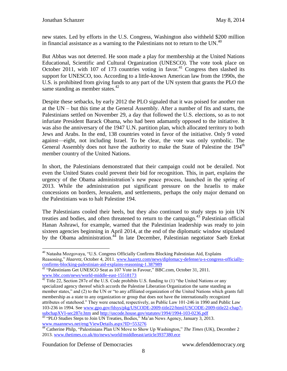new states. Led by efforts in the U.S. Congress, Washington also withheld \$200 million in financial assistance as a warning to the Palestinians not to return to the UN.<sup>40</sup>

But Abbas was not deterred. He soon made a play for membership at the United Nations Educational, Scientific and Cultural Organization (UNESCO). The vote took place on October 2011, with 107 of 173 countries voting in favor.<sup>41</sup> Congress then slashed its support for UNESCO, too. According to a little-known American law from the 1990s, the U.S. is prohibited from giving funds to any part of the UN system that grants the PLO the same standing as member states. $42$ 

Despite these setbacks, by early 2012 the PLO signaled that it was poised for another run at the UN – but this time at the General Assembly. After a number of fits and starts, the Palestinians settled on November 29, a day that followed the U.S. elections, so as to not infuriate President Barack Obama, who had been adamantly opposed to the initiative. It was also the anniversary of the 1947 U.N. partition plan, which allocated territory to both Jews and Arabs. In the end, 138 countries voted in favor of the initiative. Only 9 voted against—eight, not including Israel. To be clear, the vote was only symbolic. The General Assembly does not have the authority to make the State of Palestine the 194<sup>th</sup> member country of the United Nations.

In short, the Palestinians demonstrated that their campaign could not be derailed. Not even the United States could prevent their bid for recognition. This, in part, explains the urgency of the Obama administration's new peace process, launched in the spring of 2013. While the administration put significant pressure on the Israelis to make concessions on borders, Jerusalem, and settlements, perhaps the only major demand on the Palestinians was to halt Palestine 194.

The Palestinians cooled their heels, but they also continued to study steps to join UN treaties and bodies, and often threatened to return to the campaign.<sup>43</sup> Palestinian official Hanan Ashrawi, for example, warned that the Palestinian leadership was ready to join sixteen agencies beginning in April 2014, at the end of the diplomatic window stipulated by the Obama administration.<sup>44</sup> In late December, Palestinian negotiator Saeb Erekat

Foundation for Defense of Democracies www.defenddemocracy.org

<sup>&</sup>lt;sup>40</sup> Natasha Mozgovaya, "U.S. Congress Officially Confirms Blocking Palestinian Aid, Explains Reasoning," *Haaretz*, October 4, 2011. [www.haaretz.com/news/diplomacy-defense/u-s-congress-officially](file:///C:/Users/js/AppData/Local/Microsoft/Windows/Temporary%20Internet%20Files/Content.Outlook/ZSCUICM3/www.haaretz.com/news/diplomacy-defense/u-s-congress-officially-confirms-blocking-palestinian-aid-explains-reasoning-1.387989)[confirms-blocking-palestinian-aid-explains-reasoning-1.387989](file:///C:/Users/js/AppData/Local/Microsoft/Windows/Temporary%20Internet%20Files/Content.Outlook/ZSCUICM3/www.haaretz.com/news/diplomacy-defense/u-s-congress-officially-confirms-blocking-palestinian-aid-explains-reasoning-1.387989)

<sup>&</sup>lt;sup>41</sup> "Palestinians Get UNESCO Seat as 107 Vote in Favour," BBC.com, October 31, 2011. [www.bbc.com/news/world-middle-east-15518173](file:///C:/Users/js/AppData/Local/Microsoft/Windows/Temporary%20Internet%20Files/Content.Outlook/ZSCUICM3/www.bbc.com/news/world-middle-east-15518173)

 $42$  Title 22, Section 287e of the U.S. Code prohibits U.S. funding to (1) "the United Nations or any specialized agency thereof which accords the Palestine Liberation Organization the same standing as member states," and (2) to the UN or "to any affiliated organization of the United Nations which grants full membership as a state to any organization or group that does not have the internationally recognized attributes of statehood." They were enacted, respectively, as Public Law 101-246 in 1990 and Public Law 103-236 in 1994. See [www.gpo.gov/fdsys/pkg/USCODE-2009-title22/html/USCODE-2009-title22-chap7](http://www.gpo.gov/fdsys/pkg/USCODE-2009-title22/html/USCODE-2009-title22-chap7-subchapXVI-sec287e.htm) [subchapXVI-sec287e.htm](http://www.gpo.gov/fdsys/pkg/USCODE-2009-title22/html/USCODE-2009-title22-chap7-subchapXVI-sec287e.htm) and <http://uscode.house.gov/statutes/1994/1994-103-0236.pdf>

 $43$  "PLO Studies Steps to Join UN Treaties, Bodies," Ma'an News Agency, January 3, 2013. [www.maannews.net/eng/ViewDetails.aspx?ID=553276](file:///C:/Users/js/AppData/Local/Microsoft/Windows/Temporary%20Internet%20Files/Content.Outlook/ZSCUICM3/www.maannews.net/eng/ViewDetails.aspx%3fID=553276)

<sup>44</sup> Catherine Philp, "Palestinians Plan UN Move to Show Up Washington," *The Times* (UK), December 2 2013. [www.thetimes.co.uk/tto/news/world/middleeast/article3937380.ece](file:///C:/Users/js/AppData/Local/Microsoft/Windows/Temporary%20Internet%20Files/Content.Outlook/ZSCUICM3/www.thetimes.co.uk/tto/news/world/middleeast/article3937380.ece)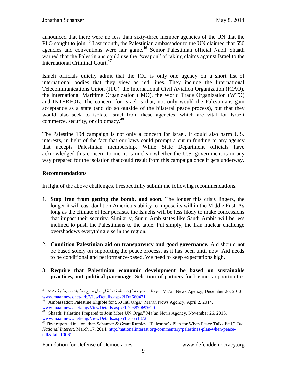announced that there were no less than sixty-three member agencies of the UN that the PLO sought to join.<sup>45</sup> Last month, the Palestinian ambassador to the UN claimed that 550 agencies and conventions were fair game.<sup>46</sup> Senior Palestinian official Nabil Shaath warned that the Palestinians could use the "weapon" of taking claims against Israel to the International Criminal Court.<sup>47</sup>

Israeli officials quietly admit that the ICC is only one agency on a short list of international bodies that they view as red lines. They include the International Telecommunications Union (ITU), the International Civil Aviation Organization (ICAO), the International Maritime Organization (IMO), the World Trade Organization (WTO) and INTERPOL. The concern for Israel is that, not only would the Palestinians gain acceptance as a state (and do so outside of the bilateral peace process), but that they would also seek to isolate Israel from these agencies, which are vital for Israeli commerce, security, or diplomacy.<sup>48</sup>

The Palestine 194 campaign is not only a concern for Israel. It could also harm U.S. interests, in light of the fact that our laws could prompt a cut in funding to any agency that accepts Palestinian membership. While State Department officials have acknowledged this concern to me, it is unclear whether the U.S. government is in any way prepared for the isolation that could result from this campaign once it gets underway.

#### **Recommendations**

 $\overline{a}$ 

In light of the above challenges, I respectfully submit the following recommendations.

- 1. **Stop Iran from getting the bomb, and soon.** The longer this crisis lingers, the longer it will cast doubt on America's ability to impose its will in the Middle East. As long as the climate of fear persists, the Israelis will be less likely to make concessions that impact their security. Similarly, Sunni Arab states like Saudi Arabia will be less inclined to push the Palestinians to the table. Put simply, the Iran nuclear challenge overshadows everything else in the region.
- 2. **Condition Palestinian aid on transparency and good governance.** Aid should not be based solely on supporting the peace process, as it has been until now. Aid needs to be conditional and performance-based. We need to keep expectations high.
- 3. **Require that Palestinian economic development be based on sustainable practices, not political patronage.** Selection of partners for business opportunities

 $^{45}$  2013. 2013. 26, Ma'an News Agency, December 26, 2013. ونوبة في حال طرح عطاءات استيطانية جديدة" 45" عريقات [www.maannews.net/arb/ViewDetails.aspx?ID=660471](file:///C:/Users/js/AppData/Local/Microsoft/Windows/Temporary%20Internet%20Files/Content.Outlook/ZSCUICM3/www.maannews.net/arb/ViewDetails.aspx%3fID=660471)

<sup>&</sup>lt;sup>46</sup> "Ambassador: Palestine Eligible for 550 Intl Orgs," Ma'an News Agency, April 2, 2014. [www.maannews.net/eng/ViewDetails.aspx?ID=687069%20](http://www.maannews.net/eng/ViewDetails.aspx?ID=687069%20)

<sup>&</sup>lt;sup>47</sup> "Shaath: Palestine Prepared to Join More UN Orgs," Ma'an News Agency, November 26, 2013. [www.maannews.net/eng/ViewDetails.aspx?ID=651372](file:///C:/Users/js/AppData/Local/Microsoft/Windows/Temporary%20Internet%20Files/Content.Outlook/ZSCUICM3/www.maannews.net/eng/ViewDetails.aspx%3fID=651372)

<sup>48</sup> First reported in: Jonathan Schanzer & Grant Rumley, "Palestine's Plan for When Peace Talks Fail," *The National Interest*, March 17, 2014. [http://nationalinterest.org/commentary/palestines-plan-when-peace](http://nationalinterest.org/commentary/palestines-plan-when-peace-talks-fail-10061)[talks-fail-10061](http://nationalinterest.org/commentary/palestines-plan-when-peace-talks-fail-10061)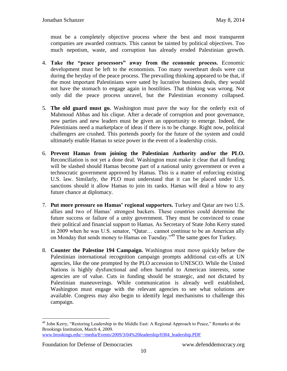must be a completely objective process where the best and most transparent companies are awarded contracts. This cannot be tainted by political objectives. Too much nepotism, waste, and corruption has already eroded Palestinian growth.

- 4. **Take the "peace processors" away from the economic process.** Economic development must be left to the economists. Too many sweetheart deals were cut during the heyday of the peace process. The prevailing thinking appeared to be that, if the most important Palestinians were sated by lucrative business deals, they would not have the stomach to engage again in hostilities. That thinking was wrong. Not only did the peace process unravel, but the Palestinian economy collapsed.
- 5. **The old guard must go.** Washington must pave the way for the orderly exit of Mahmoud Abbas and his clique. After a decade of corruption and poor governance, new parties and new leaders must be given an opportunity to emerge. Indeed, the Palestinians need a marketplace of ideas if there is to be change. Right now, political challengers are crushed. This portends poorly for the future of the system and could ultimately enable Hamas to seize power in the event of a leadership crisis.
- 6. **Prevent Hamas from joining the Palestinian Authority and/or the PLO.** Reconciliation is not yet a done deal. Washington must make it clear that all funding will be slashed should Hamas become part of a national unity government or even a technocratic government approved by Hamas. This is a matter of enforcing existing U.S. law. Similarly, the PLO must understand that it can be placed under U.S. sanctions should it allow Hamas to join its ranks. Hamas will deal a blow to any future chance at diplomacy.
- 7. **Put more pressure on Hamas' regional supporters.** Turkey and Qatar are two U.S. allies and two of Hamas' strongest backers. These countries could determine the future success or failure of a unity government. They must be convinced to cease their political and financial support to Hamas. As Secretary of State John Kerry stated in 2009 when he was U.S. senator, "Qatar… cannot continue to be an American ally on Monday that sends money to Hamas on Tuesday."<sup>49</sup> The same goes for Turkey.
- 8. **Counter the Palestine 194 Campaign.** Washington must move quickly before the Palestinian international recognition campaign prompts additional cut-offs at UN agencies, like the one prompted by the PLO accession to UNESCO. While the United Nations is highly dysfunctional and often harmful to American interests, some agencies are of value. Cuts in funding should be strategic, and not dictated by Palestinian maneuverings. While communication is already well established, Washington must engage with the relevant agencies to see what solutions are available. Congress may also begin to identify legal mechanisms to challenge this campaign.

Foundation for Defense of Democracies www.defenddemocracy.org

<sup>&</sup>lt;sup>49</sup> John Kerry, "Restoring Leadership in the Middle East: A Regional Approach to Peace," Remarks at the Brookings Institution*,* March 4, 2009. [www.brookings.edu/~/media/Events/2009/3/04%20leadership/0304\\_leadership.PDF](http://www.brookings.edu/~/media/Events/2009/3/04%20leadership/0304_leadership.PDF)